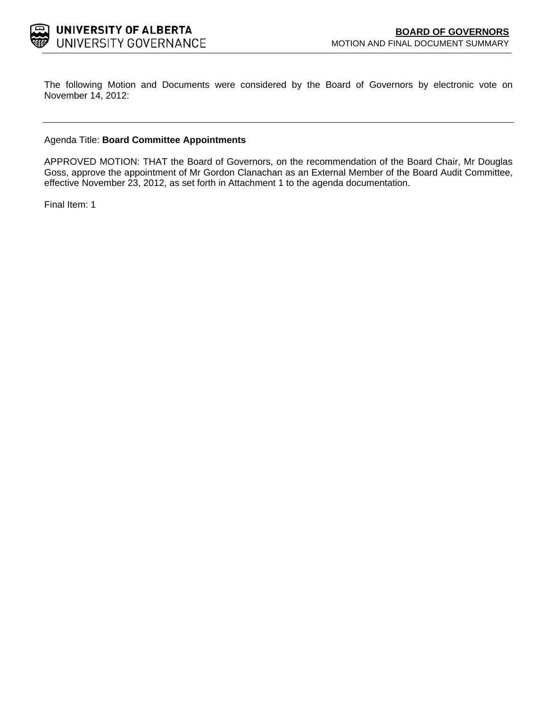

The following Motion and Documents were considered by the Board of Governors by electronic vote on November 14, 2012:

## Agenda Title: **Board Committee Appointments**

APPROVED MOTION: THAT the Board of Governors, on the recommendation of the Board Chair, Mr Douglas Goss, approve the appointment of Mr Gordon Clanachan as an External Member of the Board Audit Committee, effective November 23, 2012, as set forth in Attachment 1 to the agenda documentation.

Final Item: [1](#page-1-0)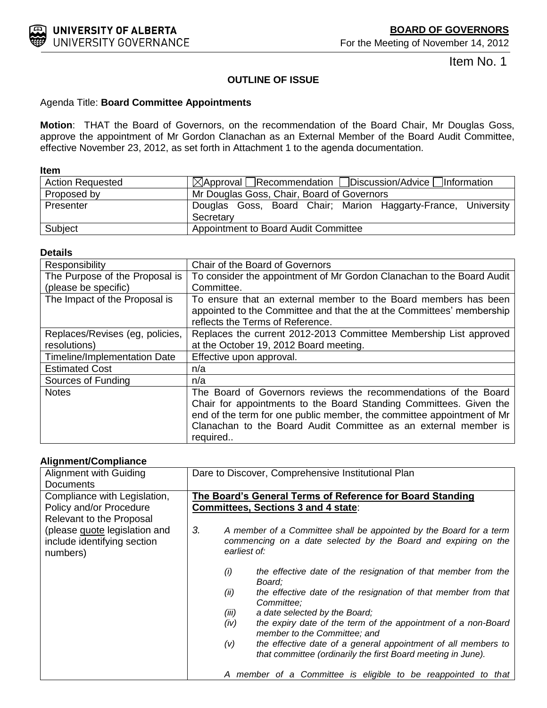<span id="page-1-0"></span>

Item No. 1

## **OUTLINE OF ISSUE**

## Agenda Title: **Board Committee Appointments**

**Motion**: THAT the Board of Governors, on the recommendation of the Board Chair, Mr Douglas Goss, approve the appointment of Mr Gordon Clanachan as an External Member of the Board Audit Committee, effective November 23, 2012, as set forth in Attachment 1 to the agenda documentation.

**Item** 

| <b>Action Requested</b> | $\boxtimes$ Approval Recommendation Discussion/Advice Information          |
|-------------------------|----------------------------------------------------------------------------|
| Proposed by             | Mr Douglas Goss, Chair, Board of Governors                                 |
| Presenter               | Douglas Goss, Board Chair; Marion Haggarty-France, University<br>Secretary |
| Subject                 | Appointment to Board Audit Committee                                       |

## **Details**

| Responsibility                  | Chair of the Board of Governors                                        |
|---------------------------------|------------------------------------------------------------------------|
| The Purpose of the Proposal is  | To consider the appointment of Mr Gordon Clanachan to the Board Audit  |
| (please be specific)            | Committee.                                                             |
| The Impact of the Proposal is   | To ensure that an external member to the Board members has been        |
|                                 | appointed to the Committee and that the at the Committees' membership  |
|                                 | reflects the Terms of Reference.                                       |
| Replaces/Revises (eg, policies, | Replaces the current 2012-2013 Committee Membership List approved      |
| resolutions)                    | at the October 19, 2012 Board meeting.                                 |
| Timeline/Implementation Date    | Effective upon approval.                                               |
| <b>Estimated Cost</b>           | n/a                                                                    |
| Sources of Funding              | n/a                                                                    |
| <b>Notes</b>                    | The Board of Governors reviews the recommendations of the Board        |
|                                 | Chair for appointments to the Board Standing Committees. Given the     |
|                                 | end of the term for one public member, the committee appointment of Mr |
|                                 | Clanachan to the Board Audit Committee as an external member is        |
|                                 | required                                                               |

## **Alignment/Compliance**

| Alignment with Guiding        | Dare to Discover, Comprehensive Institutional Plan                                                                                   |
|-------------------------------|--------------------------------------------------------------------------------------------------------------------------------------|
| <b>Documents</b>              |                                                                                                                                      |
| Compliance with Legislation,  | The Board's General Terms of Reference for Board Standing                                                                            |
| Policy and/or Procedure       | <b>Committees, Sections 3 and 4 state:</b>                                                                                           |
| Relevant to the Proposal      |                                                                                                                                      |
| (please quote legislation and | 3.<br>A member of a Committee shall be appointed by the Board for a term                                                             |
| include identifying section   | commencing on a date selected by the Board and expiring on the                                                                       |
| numbers)                      | earliest of:                                                                                                                         |
|                               | the effective date of the resignation of that member from the<br>(i)<br>Board:                                                       |
|                               | the effective date of the resignation of that member from that<br>(ii)<br>Committee:                                                 |
|                               | a date selected by the Board;<br>(iii)                                                                                               |
|                               | the expiry date of the term of the appointment of a non-Board<br>(iv)<br>member to the Committee; and                                |
|                               | the effective date of a general appointment of all members to<br>(v)<br>that committee (ordinarily the first Board meeting in June). |
|                               | A member of a Committee is eligible to be reappointed to that                                                                        |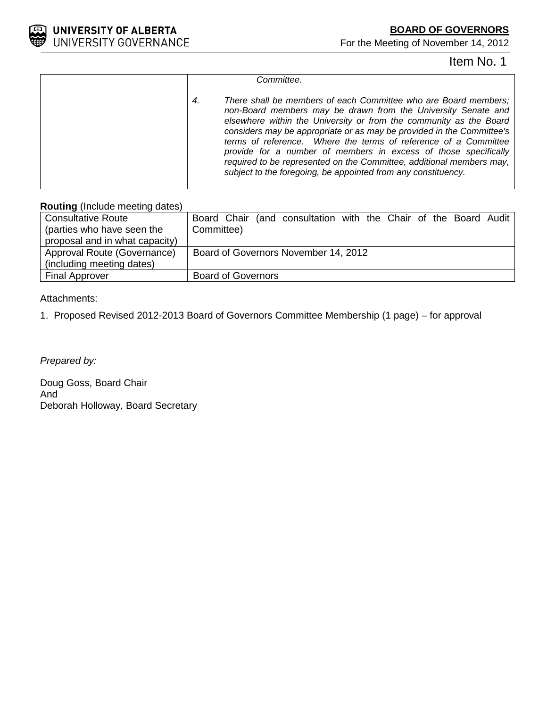

For the Meeting of November 14, 2012

# Item No. 1

| Committee.                                                                                                                                                                                                                                                                                                                                                                                                                                                                                                                                                           |
|----------------------------------------------------------------------------------------------------------------------------------------------------------------------------------------------------------------------------------------------------------------------------------------------------------------------------------------------------------------------------------------------------------------------------------------------------------------------------------------------------------------------------------------------------------------------|
| There shall be members of each Committee who are Board members;<br>4.<br>non-Board members may be drawn from the University Senate and<br>elsewhere within the University or from the community as the Board<br>considers may be appropriate or as may be provided in the Committee's<br>terms of reference. Where the terms of reference of a Committee<br>provide for a number of members in excess of those specifically<br>required to be represented on the Committee, additional members may,<br>subject to the foregoing, be appointed from any constituency. |
|                                                                                                                                                                                                                                                                                                                                                                                                                                                                                                                                                                      |

## **Routing** (Include meeting dates)

| <b>Consultative Route</b>      | Board Chair (and consultation with the Chair of the Board Audit |
|--------------------------------|-----------------------------------------------------------------|
| (parties who have seen the     | Committee)                                                      |
| proposal and in what capacity) |                                                                 |
| Approval Route (Governance)    | Board of Governors November 14, 2012                            |
| (including meeting dates)      |                                                                 |
| <b>Final Approver</b>          | <b>Board of Governors</b>                                       |

## Attachments:

1. Proposed Revised 2012-2013 Board of Governors Committee Membership (1 page) – for approval

*Prepared by:*

Doug Goss, Board Chair And Deborah Holloway, Board Secretary